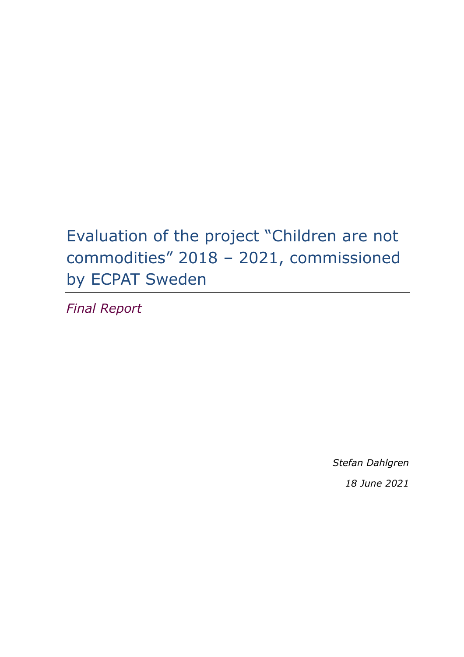# Evaluation of the project "Children are not commodities" 2018 – 2021, commissioned by ECPAT Sweden

*Final Report*

*Stefan Dahlgren 18 June 2021*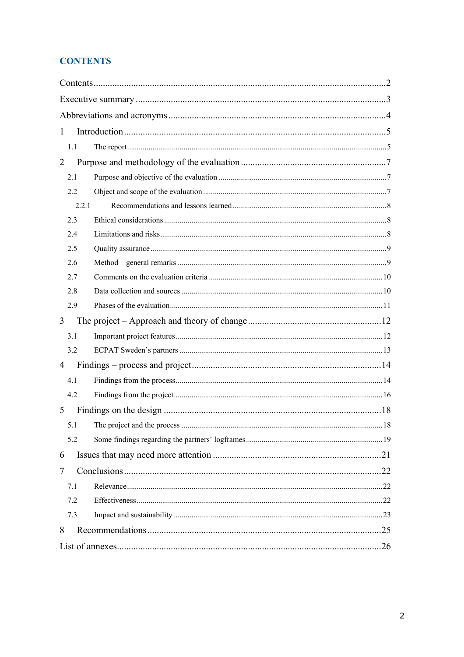# **CONTENTS**

| 1              |  |  |
|----------------|--|--|
| 1.1            |  |  |
| $\overline{2}$ |  |  |
| 2.1            |  |  |
| 2.2            |  |  |
| 2.2.1          |  |  |
| 2.3            |  |  |
| 2.4            |  |  |
| 2.5            |  |  |
| 2.6            |  |  |
| 2.7            |  |  |
| 2.8            |  |  |
| 2.9            |  |  |
| 3              |  |  |
| 3.1            |  |  |
| 3.2            |  |  |
| 4              |  |  |
| 4.1            |  |  |
| 4.2            |  |  |
| 5              |  |  |
|                |  |  |
| 5.2            |  |  |
| 6              |  |  |
| 7              |  |  |
| 7.1            |  |  |
| 7.2            |  |  |
| 7.3            |  |  |
| 8              |  |  |
|                |  |  |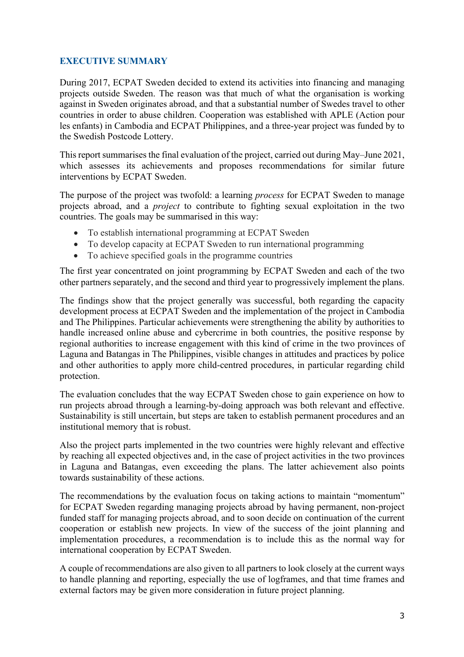## **EXECUTIVE SUMMARY**

During 2017, ECPAT Sweden decided to extend its activities into financing and managing projects outside Sweden. The reason was that much of what the organisation is working against in Sweden originates abroad, and that a substantial number of Swedes travel to other countries in order to abuse children. Cooperation was established with APLE (Action pour les enfants) in Cambodia and ECPAT Philippines, and a three-year project was funded by to the Swedish Postcode Lottery.

This report summarises the final evaluation of the project, carried out during May–June 2021, which assesses its achievements and proposes recommendations for similar future interventions by ECPAT Sweden.

The purpose of the project was twofold: a learning *process* for ECPAT Sweden to manage projects abroad, and a *project* to contribute to fighting sexual exploitation in the two countries. The goals may be summarised in this way:

- To establish international programming at ECPAT Sweden
- To develop capacity at ECPAT Sweden to run international programming
- To achieve specified goals in the programme countries

The first year concentrated on joint programming by ECPAT Sweden and each of the two other partners separately, and the second and third year to progressively implement the plans.

The findings show that the project generally was successful, both regarding the capacity development process at ECPAT Sweden and the implementation of the project in Cambodia and The Philippines. Particular achievements were strengthening the ability by authorities to handle increased online abuse and cybercrime in both countries, the positive response by regional authorities to increase engagement with this kind of crime in the two provinces of Laguna and Batangas in The Philippines, visible changes in attitudes and practices by police and other authorities to apply more child-centred procedures, in particular regarding child protection.

The evaluation concludes that the way ECPAT Sweden chose to gain experience on how to run projects abroad through a learning-by-doing approach was both relevant and effective. Sustainability is still uncertain, but steps are taken to establish permanent procedures and an institutional memory that is robust.

Also the project parts implemented in the two countries were highly relevant and effective by reaching all expected objectives and, in the case of project activities in the two provinces in Laguna and Batangas, even exceeding the plans. The latter achievement also points towards sustainability of these actions.

The recommendations by the evaluation focus on taking actions to maintain "momentum" for ECPAT Sweden regarding managing projects abroad by having permanent, non-project funded staff for managing projects abroad, and to soon decide on continuation of the current cooperation or establish new projects. In view of the success of the joint planning and implementation procedures, a recommendation is to include this as the normal way for international cooperation by ECPAT Sweden.

A couple of recommendations are also given to all partners to look closely at the current ways to handle planning and reporting, especially the use of logframes, and that time frames and external factors may be given more consideration in future project planning.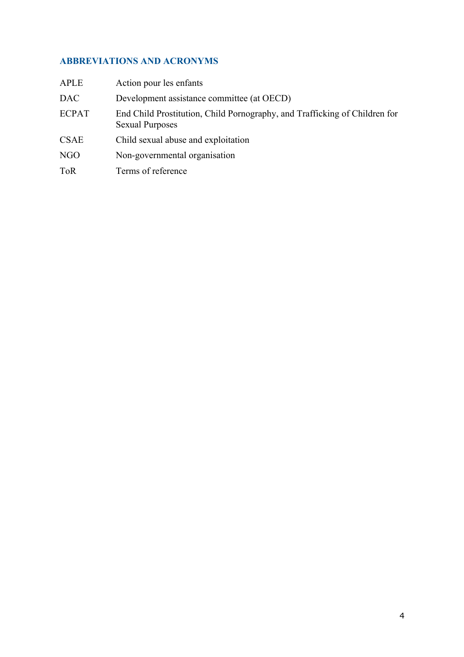# **ABBREVIATIONS AND ACRONYMS**

| APLE         | Action pour les enfants                                                                              |
|--------------|------------------------------------------------------------------------------------------------------|
| DAC .        | Development assistance committee (at OECD)                                                           |
| <b>ECPAT</b> | End Child Prostitution, Child Pornography, and Trafficking of Children for<br><b>Sexual Purposes</b> |
| <b>CSAE</b>  | Child sexual abuse and exploitation                                                                  |
| NGO          | Non-governmental organisation                                                                        |
| ToR          | Terms of reference                                                                                   |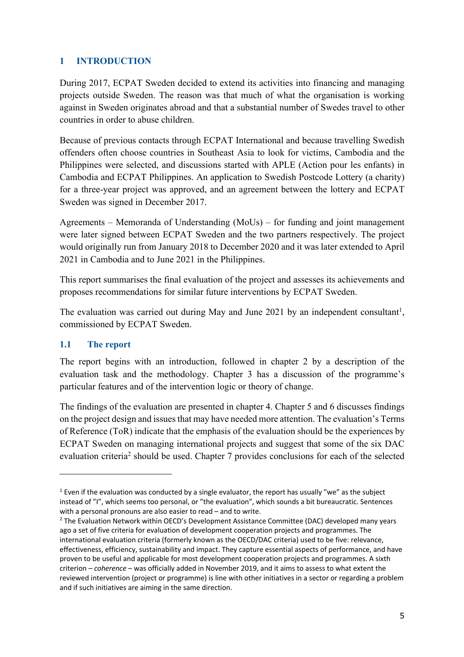# **1 INTRODUCTION**

During 2017, ECPAT Sweden decided to extend its activities into financing and managing projects outside Sweden. The reason was that much of what the organisation is working against in Sweden originates abroad and that a substantial number of Swedes travel to other countries in order to abuse children.

Because of previous contacts through ECPAT International and because travelling Swedish offenders often choose countries in Southeast Asia to look for victims, Cambodia and the Philippines were selected, and discussions started with APLE (Action pour les enfants) in Cambodia and ECPAT Philippines. An application to Swedish Postcode Lottery (a charity) for a three-year project was approved, and an agreement between the lottery and ECPAT Sweden was signed in December 2017.

Agreements – Memoranda of Understanding (MoUs) – for funding and joint management were later signed between ECPAT Sweden and the two partners respectively. The project would originally run from January 2018 to December 2020 and it was later extended to April 2021 in Cambodia and to June 2021 in the Philippines.

This report summarises the final evaluation of the project and assesses its achievements and proposes recommendations for similar future interventions by ECPAT Sweden.

The evaluation was carried out during May and June 2021 by an independent consultant<sup>1</sup>, commissioned by ECPAT Sweden.

# **1.1 The report**

The report begins with an introduction, followed in chapter 2 by a description of the evaluation task and the methodology. Chapter 3 has a discussion of the programme's particular features and of the intervention logic or theory of change.

The findings of the evaluation are presented in chapter 4. Chapter 5 and 6 discusses findings on the project design and issues that may have needed more attention. The evaluation's Terms of Reference (ToR) indicate that the emphasis of the evaluation should be the experiences by ECPAT Sweden on managing international projects and suggest that some of the six DAC evaluation criteria<sup>2</sup> should be used. Chapter 7 provides conclusions for each of the selected

 $1$  Even if the evaluation was conducted by a single evaluator, the report has usually "we" as the subject instead of "I", which seems too personal, or "the evaluation", which sounds a bit bureaucratic. Sentences with a personal pronouns are also easier to read – and to write.

<sup>&</sup>lt;sup>2</sup> The Evaluation Network within OECD's Development Assistance Committee (DAC) developed many years ago a set of five criteria for evaluation of development cooperation projects and programmes. The international evaluation criteria (formerly known as the OECD/DAC criteria) used to be five: relevance, effectiveness, efficiency, sustainability and impact. They capture essential aspects of performance, and have proven to be useful and applicable for most development cooperation projects and programmes. A sixth criterion – *coherence* – was officially added in November 2019, and it aims to assess to what extent the reviewed intervention (project or programme) is line with other initiatives in a sector or regarding a problem and if such initiatives are aiming in the same direction.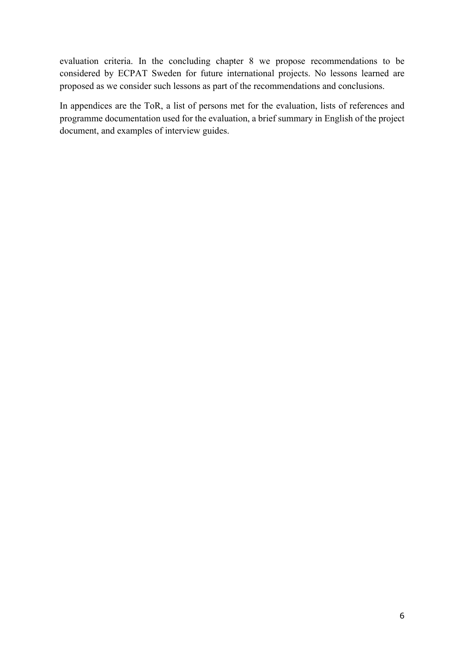evaluation criteria. In the concluding chapter 8 we propose recommendations to be considered by ECPAT Sweden for future international projects. No lessons learned are proposed as we consider such lessons as part of the recommendations and conclusions.

In appendices are the ToR, a list of persons met for the evaluation, lists of references and programme documentation used for the evaluation, a brief summary in English of the project document, and examples of interview guides.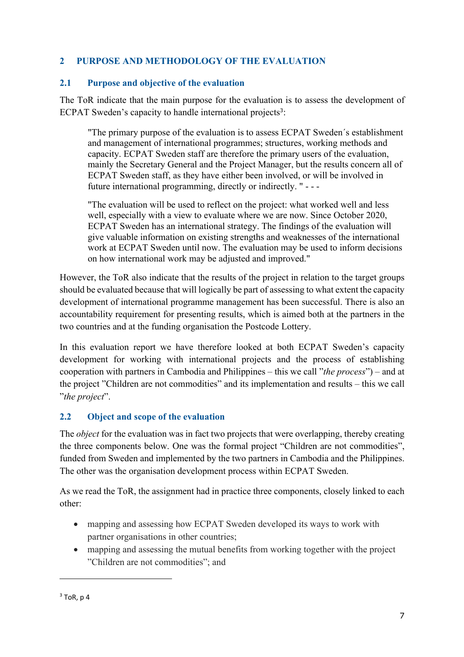# **2 PURPOSE AND METHODOLOGY OF THE EVALUATION**

#### **2.1 Purpose and objective of the evaluation**

The ToR indicate that the main purpose for the evaluation is to assess the development of ECPAT Sweden's capacity to handle international projects<sup>3</sup>:

"The primary purpose of the evaluation is to assess ECPAT Sweden´s establishment and management of international programmes; structures, working methods and capacity. ECPAT Sweden staff are therefore the primary users of the evaluation, mainly the Secretary General and the Project Manager, but the results concern all of ECPAT Sweden staff, as they have either been involved, or will be involved in future international programming, directly or indirectly. " - - -

"The evaluation will be used to reflect on the project: what worked well and less well, especially with a view to evaluate where we are now. Since October 2020, ECPAT Sweden has an international strategy. The findings of the evaluation will give valuable information on existing strengths and weaknesses of the international work at ECPAT Sweden until now. The evaluation may be used to inform decisions on how international work may be adjusted and improved."

However, the ToR also indicate that the results of the project in relation to the target groups should be evaluated because that will logically be part of assessing to what extent the capacity development of international programme management has been successful. There is also an accountability requirement for presenting results, which is aimed both at the partners in the two countries and at the funding organisation the Postcode Lottery.

In this evaluation report we have therefore looked at both ECPAT Sweden's capacity development for working with international projects and the process of establishing cooperation with partners in Cambodia and Philippines – this we call "*the process*") – and at the project "Children are not commodities" and its implementation and results – this we call "*the project*".

# **2.2 Object and scope of the evaluation**

The *object* for the evaluation was in fact two projects that were overlapping, thereby creating the three components below. One was the formal project "Children are not commodities", funded from Sweden and implemented by the two partners in Cambodia and the Philippines. The other was the organisation development process within ECPAT Sweden.

As we read the ToR, the assignment had in practice three components, closely linked to each other:

- mapping and assessing how ECPAT Sweden developed its ways to work with partner organisations in other countries;
- mapping and assessing the mutual benefits from working together with the project "Children are not commodities"; and

 $3$  ToR, p 4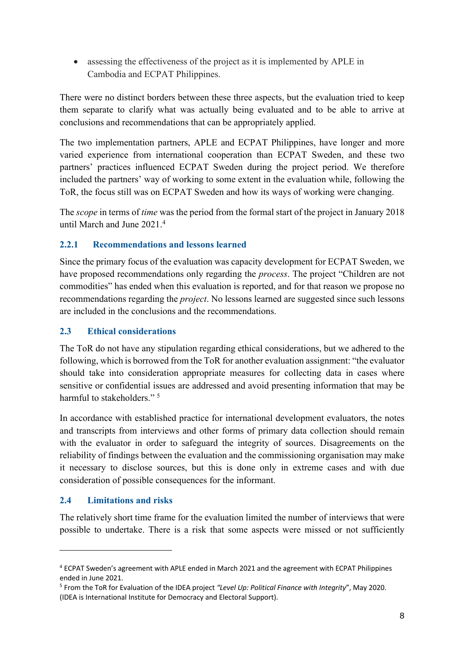• assessing the effectiveness of the project as it is implemented by APLE in Cambodia and ECPAT Philippines.

There were no distinct borders between these three aspects, but the evaluation tried to keep them separate to clarify what was actually being evaluated and to be able to arrive at conclusions and recommendations that can be appropriately applied.

The two implementation partners, APLE and ECPAT Philippines, have longer and more varied experience from international cooperation than ECPAT Sweden, and these two partners' practices influenced ECPAT Sweden during the project period. We therefore included the partners' way of working to some extent in the evaluation while, following the ToR, the focus still was on ECPAT Sweden and how its ways of working were changing.

The *scope* in terms of *time* was the period from the formal start of the project in January 2018 until March and June 2021. 4

# **2.2.1 Recommendations and lessons learned**

Since the primary focus of the evaluation was capacity development for ECPAT Sweden, we have proposed recommendations only regarding the *process*. The project "Children are not commodities" has ended when this evaluation is reported, and for that reason we propose no recommendations regarding the *project*. No lessons learned are suggested since such lessons are included in the conclusions and the recommendations.

# **2.3 Ethical considerations**

The ToR do not have any stipulation regarding ethical considerations, but we adhered to the following, which is borrowed from the ToR for another evaluation assignment: "the evaluator should take into consideration appropriate measures for collecting data in cases where sensitive or confidential issues are addressed and avoid presenting information that may be harmful to stakeholders."<sup>5</sup>

In accordance with established practice for international development evaluators, the notes and transcripts from interviews and other forms of primary data collection should remain with the evaluator in order to safeguard the integrity of sources. Disagreements on the reliability of findings between the evaluation and the commissioning organisation may make it necessary to disclose sources, but this is done only in extreme cases and with due consideration of possible consequences for the informant.

# **2.4 Limitations and risks**

The relatively short time frame for the evaluation limited the number of interviews that were possible to undertake. There is a risk that some aspects were missed or not sufficiently

<sup>4</sup> ECPAT Sweden's agreement with APLE ended in March 2021 and the agreement with ECPAT Philippines ended in June 2021.

<sup>5</sup> From the ToR for Evaluation of the IDEA project *"Level Up: Political Finance with Integrity*", May 2020. (IDEA is International Institute for Democracy and Electoral Support).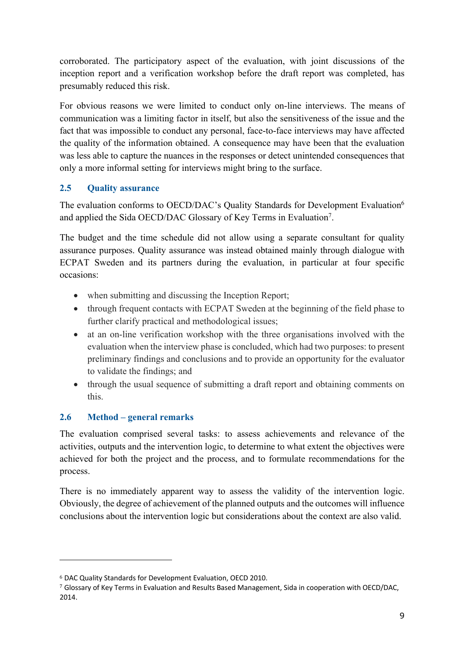corroborated. The participatory aspect of the evaluation, with joint discussions of the inception report and a verification workshop before the draft report was completed, has presumably reduced this risk.

For obvious reasons we were limited to conduct only on-line interviews. The means of communication was a limiting factor in itself, but also the sensitiveness of the issue and the fact that was impossible to conduct any personal, face-to-face interviews may have affected the quality of the information obtained. A consequence may have been that the evaluation was less able to capture the nuances in the responses or detect unintended consequences that only a more informal setting for interviews might bring to the surface.

# **2.5 Quality assurance**

The evaluation conforms to OECD/DAC's Quality Standards for Development Evaluation<sup>6</sup> and applied the Sida OECD/DAC Glossary of Key Terms in Evaluation<sup>7</sup>.

The budget and the time schedule did not allow using a separate consultant for quality assurance purposes. Quality assurance was instead obtained mainly through dialogue with ECPAT Sweden and its partners during the evaluation, in particular at four specific occasions:

- when submitting and discussing the Inception Report;
- through frequent contacts with ECPAT Sweden at the beginning of the field phase to further clarify practical and methodological issues;
- at an on-line verification workshop with the three organisations involved with the evaluation when the interview phase is concluded, which had two purposes: to present preliminary findings and conclusions and to provide an opportunity for the evaluator to validate the findings; and
- through the usual sequence of submitting a draft report and obtaining comments on this.

# **2.6 Method – general remarks**

The evaluation comprised several tasks: to assess achievements and relevance of the activities, outputs and the intervention logic, to determine to what extent the objectives were achieved for both the project and the process, and to formulate recommendations for the process.

There is no immediately apparent way to assess the validity of the intervention logic. Obviously, the degree of achievement of the planned outputs and the outcomes will influence conclusions about the intervention logic but considerations about the context are also valid.

<sup>6</sup> DAC Quality Standards for Development Evaluation, OECD 2010.

<sup>7</sup> Glossary of Key Terms in Evaluation and Results Based Management, Sida in cooperation with OECD/DAC, 2014.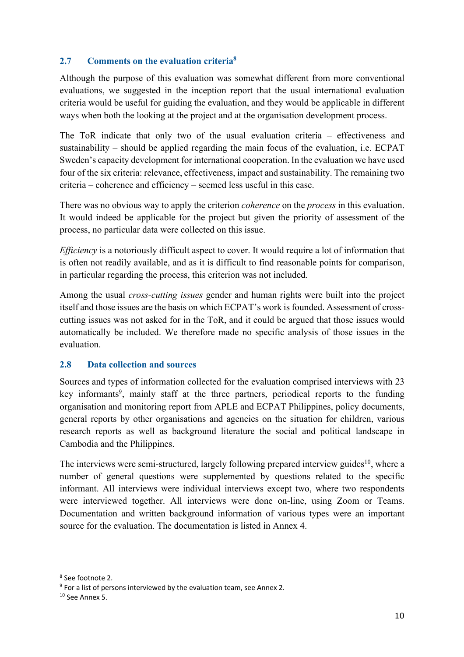## **2.7 Comments on the evaluation criteria8**

Although the purpose of this evaluation was somewhat different from more conventional evaluations, we suggested in the inception report that the usual international evaluation criteria would be useful for guiding the evaluation, and they would be applicable in different ways when both the looking at the project and at the organisation development process.

The ToR indicate that only two of the usual evaluation criteria – effectiveness and sustainability – should be applied regarding the main focus of the evaluation, i.e. ECPAT Sweden's capacity development for international cooperation. In the evaluation we have used four of the six criteria: relevance, effectiveness, impact and sustainability. The remaining two criteria – coherence and efficiency – seemed less useful in this case.

There was no obvious way to apply the criterion *coherence* on the *process* in this evaluation. It would indeed be applicable for the project but given the priority of assessment of the process, no particular data were collected on this issue.

*Efficiency* is a notoriously difficult aspect to cover. It would require a lot of information that is often not readily available, and as it is difficult to find reasonable points for comparison, in particular regarding the process, this criterion was not included.

Among the usual *cross-cutting issues* gender and human rights were built into the project itself and those issues are the basis on which ECPAT's work is founded. Assessment of crosscutting issues was not asked for in the ToR, and it could be argued that those issues would automatically be included. We therefore made no specific analysis of those issues in the evaluation.

#### **2.8 Data collection and sources**

Sources and types of information collected for the evaluation comprised interviews with 23 key informants<sup>9</sup>, mainly staff at the three partners, periodical reports to the funding organisation and monitoring report from APLE and ECPAT Philippines, policy documents, general reports by other organisations and agencies on the situation for children, various research reports as well as background literature the social and political landscape in Cambodia and the Philippines.

The interviews were semi-structured, largely following prepared interview guides<sup>10</sup>, where a number of general questions were supplemented by questions related to the specific informant. All interviews were individual interviews except two, where two respondents were interviewed together. All interviews were done on-line, using Zoom or Teams. Documentation and written background information of various types were an important source for the evaluation. The documentation is listed in Annex 4.

<sup>8</sup> See footnote 2.

<sup>&</sup>lt;sup>9</sup> For a list of persons interviewed by the evaluation team, see Annex 2.

 $10$  See Annex 5.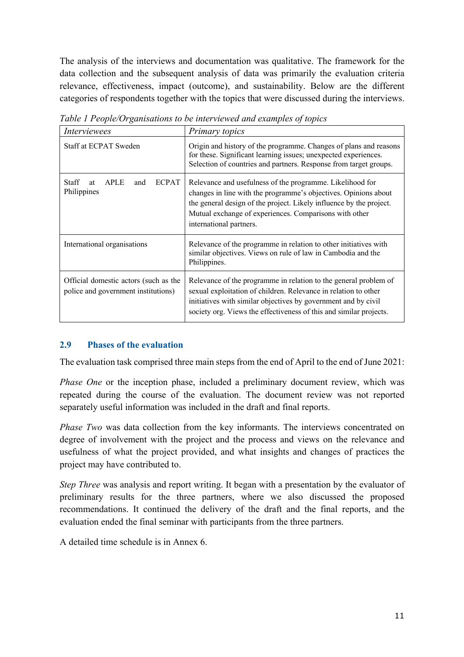The analysis of the interviews and documentation was qualitative. The framework for the data collection and the subsequent analysis of data was primarily the evaluation criteria relevance, effectiveness, impact (outcome), and sustainability. Below are the different categories of respondents together with the topics that were discussed during the interviews.

| Interviewees                                                                 | Primary topics                                                                                                                                                                                                                                                                           |
|------------------------------------------------------------------------------|------------------------------------------------------------------------------------------------------------------------------------------------------------------------------------------------------------------------------------------------------------------------------------------|
| Staff at ECPAT Sweden                                                        | Origin and history of the programme. Changes of plans and reasons<br>for these. Significant learning issues; unexpected experiences.<br>Selection of countries and partners. Response from target groups.                                                                                |
| <b>ECPAT</b><br>Staff<br><b>APLE</b><br>and<br>at<br>Philippines             | Relevance and usefulness of the programme. Likelihood for<br>changes in line with the programme's objectives. Opinions about<br>the general design of the project. Likely influence by the project.<br>Mutual exchange of experiences. Comparisons with other<br>international partners. |
| International organisations                                                  | Relevance of the programme in relation to other initiatives with<br>similar objectives. Views on rule of law in Cambodia and the<br>Philippines.                                                                                                                                         |
| Official domestic actors (such as the<br>police and government institutions) | Relevance of the programme in relation to the general problem of<br>sexual exploitation of children. Relevance in relation to other<br>initiatives with similar objectives by government and by civil<br>society org. Views the effectiveness of this and similar projects.              |

*Table 1 People/Organisations to be interviewed and examples of topics*

# **2.9 Phases of the evaluation**

The evaluation task comprised three main steps from the end of April to the end of June 2021:

*Phase One* or the inception phase, included a preliminary document review, which was repeated during the course of the evaluation. The document review was not reported separately useful information was included in the draft and final reports.

*Phase Two was data collection from the key informants. The interviews concentrated on* degree of involvement with the project and the process and views on the relevance and usefulness of what the project provided, and what insights and changes of practices the project may have contributed to.

*Step Three* was analysis and report writing. It began with a presentation by the evaluator of preliminary results for the three partners, where we also discussed the proposed recommendations. It continued the delivery of the draft and the final reports, and the evaluation ended the final seminar with participants from the three partners.

A detailed time schedule is in Annex 6.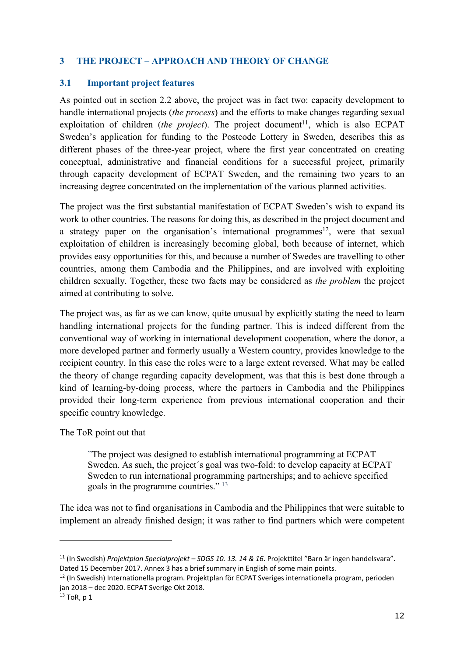# **3 THE PROJECT – APPROACH AND THEORY OF CHANGE**

#### **3.1 Important project features**

As pointed out in section 2.2 above, the project was in fact two: capacity development to handle international projects (*the process*) and the efforts to make changes regarding sexual exploitation of children *(the project)*. The project document<sup>11</sup>, which is also ECPAT Sweden's application for funding to the Postcode Lottery in Sweden, describes this as different phases of the three-year project, where the first year concentrated on creating conceptual, administrative and financial conditions for a successful project, primarily through capacity development of ECPAT Sweden, and the remaining two years to an increasing degree concentrated on the implementation of the various planned activities.

The project was the first substantial manifestation of ECPAT Sweden's wish to expand its work to other countries. The reasons for doing this, as described in the project document and a strategy paper on the organisation's international programmes<sup>12</sup>, were that sexual exploitation of children is increasingly becoming global, both because of internet, which provides easy opportunities for this, and because a number of Swedes are travelling to other countries, among them Cambodia and the Philippines, and are involved with exploiting children sexually. Together, these two facts may be considered as *the problem* the project aimed at contributing to solve.

The project was, as far as we can know, quite unusual by explicitly stating the need to learn handling international projects for the funding partner. This is indeed different from the conventional way of working in international development cooperation, where the donor, a more developed partner and formerly usually a Western country, provides knowledge to the recipient country. In this case the roles were to a large extent reversed. What may be called the theory of change regarding capacity development, was that this is best done through a kind of learning-by-doing process, where the partners in Cambodia and the Philippines provided their long-term experience from previous international cooperation and their specific country knowledge.

The ToR point out that

"The project was designed to establish international programming at ECPAT Sweden. As such, the project´s goal was two-fold: to develop capacity at ECPAT Sweden to run international programming partnerships; and to achieve specified goals in the programme countries." <sup>13</sup>

The idea was not to find organisations in Cambodia and the Philippines that were suitable to implement an already finished design; it was rather to find partners which were competent

<sup>11</sup> (In Swedish) *Projektplan Specialprojekt – SDGS 10. 13. 14 & 16*. Projekttitel "Barn är ingen handelsvara". Dated 15 December 2017. Annex 3 has a brief summary in English of some main points.

<sup>12</sup> (In Swedish) Internationella program. Projektplan för ECPAT Sveriges internationella program, perioden jan 2018 – dec 2020. ECPAT Sverige Okt 2018.

 $13$  ToR, p 1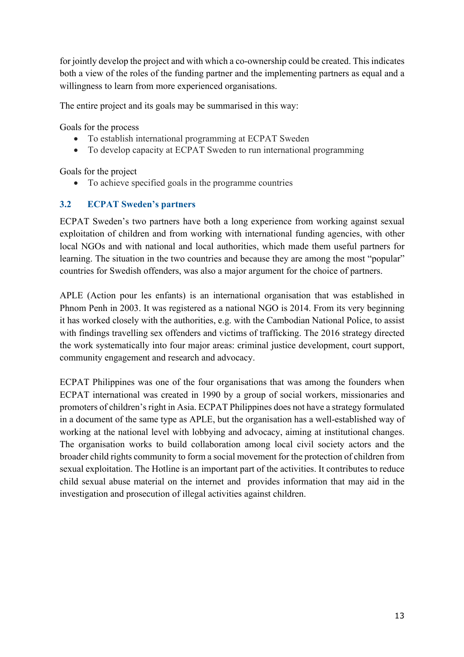for jointly develop the project and with which a co-ownership could be created. This indicates both a view of the roles of the funding partner and the implementing partners as equal and a willingness to learn from more experienced organisations.

The entire project and its goals may be summarised in this way:

Goals for the process

- To establish international programming at ECPAT Sweden
- To develop capacity at ECPAT Sweden to run international programming

Goals for the project

• To achieve specified goals in the programme countries

# **3.2 ECPAT Sweden's partners**

ECPAT Sweden's two partners have both a long experience from working against sexual exploitation of children and from working with international funding agencies, with other local NGOs and with national and local authorities, which made them useful partners for learning. The situation in the two countries and because they are among the most "popular" countries for Swedish offenders, was also a major argument for the choice of partners.

APLE (Action pour les enfants) is an international organisation that was established in Phnom Penh in 2003. It was registered as a national NGO is 2014. From its very beginning it has worked closely with the authorities, e.g. with the Cambodian National Police, to assist with findings travelling sex offenders and victims of trafficking. The 2016 strategy directed the work systematically into four major areas: criminal justice development, court support, community engagement and research and advocacy.

ECPAT Philippines was one of the four organisations that was among the founders when ECPAT international was created in 1990 by a group of social workers, missionaries and promoters of children's right in Asia. ECPAT Philippines does not have a strategy formulated in a document of the same type as APLE, but the organisation has a well-established way of working at the national level with lobbying and advocacy, aiming at institutional changes. The organisation works to build collaboration among local civil society actors and the broader child rights community to form a social movement for the protection of children from sexual exploitation. The Hotline is an important part of the activities. It contributes to reduce child sexual abuse material on the internet and provides information that may aid in the investigation and prosecution of illegal activities against children.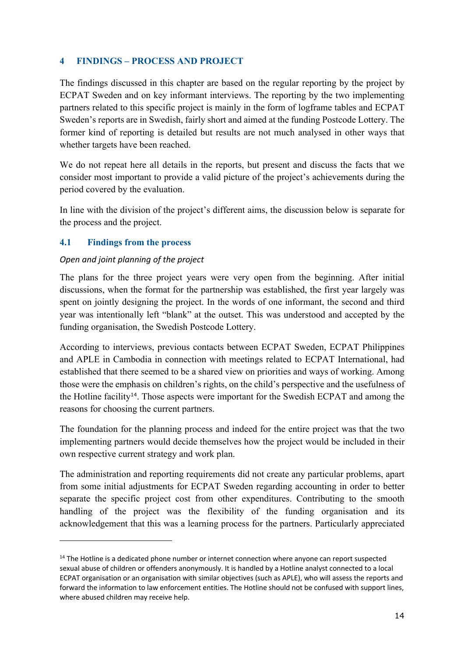## **4 FINDINGS – PROCESS AND PROJECT**

The findings discussed in this chapter are based on the regular reporting by the project by ECPAT Sweden and on key informant interviews. The reporting by the two implementing partners related to this specific project is mainly in the form of logframe tables and ECPAT Sweden's reports are in Swedish, fairly short and aimed at the funding Postcode Lottery. The former kind of reporting is detailed but results are not much analysed in other ways that whether targets have been reached.

We do not repeat here all details in the reports, but present and discuss the facts that we consider most important to provide a valid picture of the project's achievements during the period covered by the evaluation.

In line with the division of the project's different aims, the discussion below is separate for the process and the project.

## **4.1 Findings from the process**

#### *Open and joint planning of the project*

The plans for the three project years were very open from the beginning. After initial discussions, when the format for the partnership was established, the first year largely was spent on jointly designing the project. In the words of one informant, the second and third year was intentionally left "blank" at the outset. This was understood and accepted by the funding organisation, the Swedish Postcode Lottery.

According to interviews, previous contacts between ECPAT Sweden, ECPAT Philippines and APLE in Cambodia in connection with meetings related to ECPAT International, had established that there seemed to be a shared view on priorities and ways of working. Among those were the emphasis on children's rights, on the child's perspective and the usefulness of the Hotline facility14. Those aspects were important for the Swedish ECPAT and among the reasons for choosing the current partners.

The foundation for the planning process and indeed for the entire project was that the two implementing partners would decide themselves how the project would be included in their own respective current strategy and work plan.

The administration and reporting requirements did not create any particular problems, apart from some initial adjustments for ECPAT Sweden regarding accounting in order to better separate the specific project cost from other expenditures. Contributing to the smooth handling of the project was the flexibility of the funding organisation and its acknowledgement that this was a learning process for the partners. Particularly appreciated

<sup>&</sup>lt;sup>14</sup> The Hotline is a dedicated phone number or internet connection where anyone can report suspected sexual abuse of children or offenders anonymously. It is handled by a Hotline analyst connected to a local ECPAT organisation or an organisation with similar objectives (such as APLE), who will assess the reports and forward the information to law enforcement entities. The Hotline should not be confused with support lines, where abused children may receive help.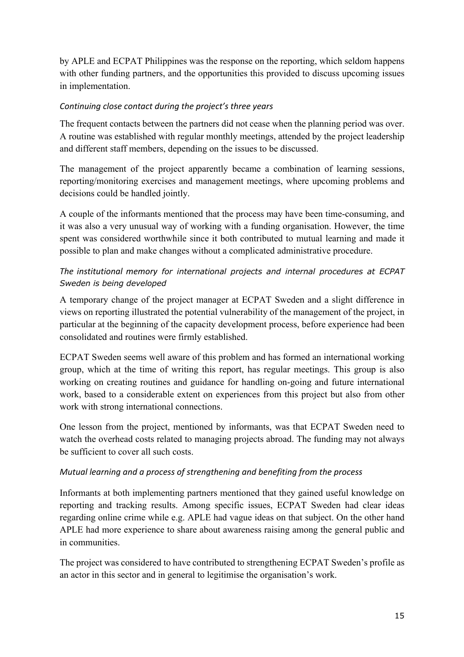by APLE and ECPAT Philippines was the response on the reporting, which seldom happens with other funding partners, and the opportunities this provided to discuss upcoming issues in implementation.

## *Continuing close contact during the project's three years*

The frequent contacts between the partners did not cease when the planning period was over. A routine was established with regular monthly meetings, attended by the project leadership and different staff members, depending on the issues to be discussed.

The management of the project apparently became a combination of learning sessions, reporting/monitoring exercises and management meetings, where upcoming problems and decisions could be handled jointly.

A couple of the informants mentioned that the process may have been time-consuming, and it was also a very unusual way of working with a funding organisation. However, the time spent was considered worthwhile since it both contributed to mutual learning and made it possible to plan and make changes without a complicated administrative procedure.

# *The institutional memory for international projects and internal procedures at ECPAT Sweden is being developed*

A temporary change of the project manager at ECPAT Sweden and a slight difference in views on reporting illustrated the potential vulnerability of the management of the project, in particular at the beginning of the capacity development process, before experience had been consolidated and routines were firmly established.

ECPAT Sweden seems well aware of this problem and has formed an international working group, which at the time of writing this report, has regular meetings. This group is also working on creating routines and guidance for handling on-going and future international work, based to a considerable extent on experiences from this project but also from other work with strong international connections.

One lesson from the project, mentioned by informants, was that ECPAT Sweden need to watch the overhead costs related to managing projects abroad. The funding may not always be sufficient to cover all such costs.

#### *Mutual learning and a process of strengthening and benefiting from the process*

Informants at both implementing partners mentioned that they gained useful knowledge on reporting and tracking results. Among specific issues, ECPAT Sweden had clear ideas regarding online crime while e.g. APLE had vague ideas on that subject. On the other hand APLE had more experience to share about awareness raising among the general public and in communities.

The project was considered to have contributed to strengthening ECPAT Sweden's profile as an actor in this sector and in general to legitimise the organisation's work.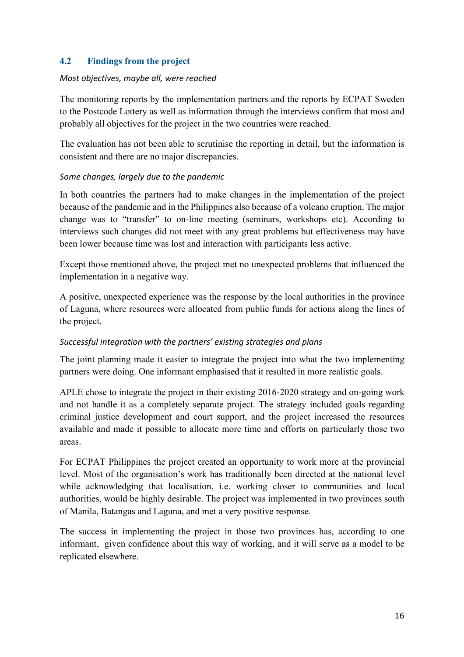# **4.2 Findings from the project**

#### *Most objectives, maybe all, were reached*

The monitoring reports by the implementation partners and the reports by ECPAT Sweden to the Postcode Lottery as well as information through the interviews confirm that most and probably all objectives for the project in the two countries were reached.

The evaluation has not been able to scrutinise the reporting in detail, but the information is consistent and there are no major discrepancies.

#### *Some changes, largely due to the pandemic*

In both countries the partners had to make changes in the implementation of the project because of the pandemic and in the Philippines also because of a volcano eruption. The major change was to "transfer" to on-line meeting (seminars, workshops etc). According to interviews such changes did not meet with any great problems but effectiveness may have been lower because time was lost and interaction with participants less active.

Except those mentioned above, the project met no unexpected problems that influenced the implementation in a negative way.

A positive, unexpected experience was the response by the local authorities in the province of Laguna, where resources were allocated from public funds for actions along the lines of the project.

#### *Successful integration with the partners' existing strategies and plans*

The joint planning made it easier to integrate the project into what the two implementing partners were doing. One informant emphasised that it resulted in more realistic goals.

APLE chose to integrate the project in their existing 2016-2020 strategy and on-going work and not handle it as a completely separate project. The strategy included goals regarding criminal justice development and court support, and the project increased the resources available and made it possible to allocate more time and efforts on particularly those two areas.

For ECPAT Philippines the project created an opportunity to work more at the provincial level. Most of the organisation's work has traditionally been directed at the national level while acknowledging that localisation, i.e. working closer to communities and local authorities, would be highly desirable. The project was implemented in two provinces south of Manila, Batangas and Laguna, and met a very positive response.

The success in implementing the project in those two provinces has, according to one informant, given confidence about this way of working, and it will serve as a model to be replicated elsewhere.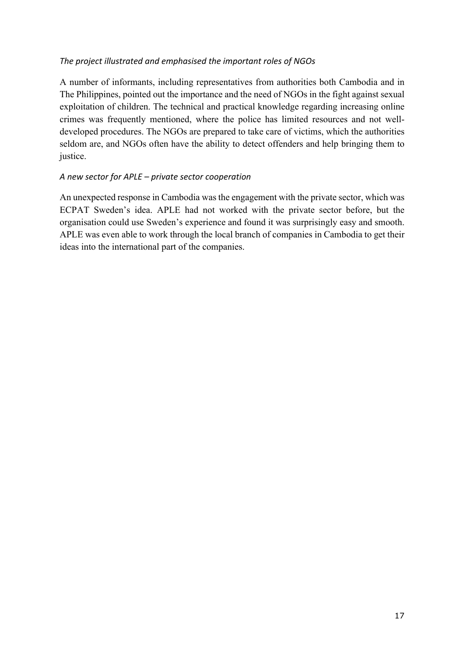#### *The project illustrated and emphasised the important roles of NGOs*

A number of informants, including representatives from authorities both Cambodia and in The Philippines, pointed out the importance and the need of NGOs in the fight against sexual exploitation of children. The technical and practical knowledge regarding increasing online crimes was frequently mentioned, where the police has limited resources and not welldeveloped procedures. The NGOs are prepared to take care of victims, which the authorities seldom are, and NGOs often have the ability to detect offenders and help bringing them to justice.

## *A new sector for APLE – private sector cooperation*

An unexpected response in Cambodia was the engagement with the private sector, which was ECPAT Sweden's idea. APLE had not worked with the private sector before, but the organisation could use Sweden's experience and found it was surprisingly easy and smooth. APLE was even able to work through the local branch of companies in Cambodia to get their ideas into the international part of the companies.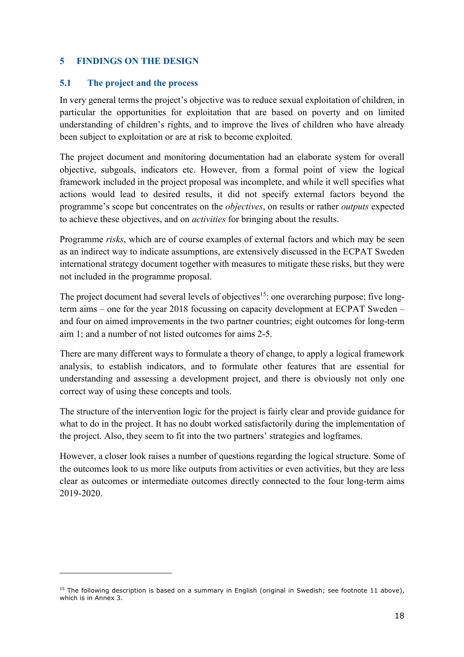## **5 FINDINGS ON THE DESIGN**

#### **5.1 The project and the process**

In very general terms the project's objective was to reduce sexual exploitation of children, in particular the opportunities for exploitation that are based on poverty and on limited understanding of children's rights, and to improve the lives of children who have already been subject to exploitation or are at risk to become exploited.

The project document and monitoring documentation had an elaborate system for overall objective, subgoals, indicators etc. However, from a formal point of view the logical framework included in the project proposal was incomplete, and while it well specifies what actions would lead to desired results, it did not specify external factors beyond the programme's scope but concentrates on the *objectives*, on results or rather *outputs* expected to achieve these objectives, and on *activities* for bringing about the results.

Programme *risks*, which are of course examples of external factors and which may be seen as an indirect way to indicate assumptions, are extensively discussed in the ECPAT Sweden international strategy document together with measures to mitigate these risks, but they were not included in the programme proposal.

The project document had several levels of objectives<sup>15</sup>: one overarching purpose; five longterm aims – one for the year 2018 focussing on capacity development at ECPAT Sweden – and four on aimed improvements in the two partner countries; eight outcomes for long-term aim 1; and a number of not listed outcomes for aims 2-5.

There are many different ways to formulate a theory of change, to apply a logical framework analysis, to establish indicators, and to formulate other features that are essential for understanding and assessing a development project, and there is obviously not only one correct way of using these concepts and tools.

The structure of the intervention logic for the project is fairly clear and provide guidance for what to do in the project. It has no doubt worked satisfactorily during the implementation of the project. Also, they seem to fit into the two partners' strategies and logframes.

However, a closer look raises a number of questions regarding the logical structure. Some of the outcomes look to us more like outputs from activities or even activities, but they are less clear as outcomes or intermediate outcomes directly connected to the four long-term aims 2019-2020.

<sup>&</sup>lt;sup>15</sup> The following description is based on a summary in English (original in Swedish; see footnote 11 above), which is in Annex 3.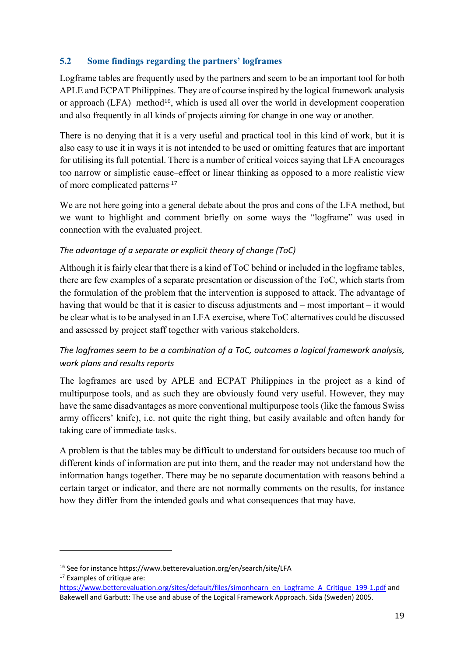## **5.2 Some findings regarding the partners' logframes**

Logframe tables are frequently used by the partners and seem to be an important tool for both APLE and ECPAT Philippines. They are of course inspired by the logical framework analysis or approach (LFA) method<sup>16</sup>, which is used all over the world in development cooperation and also frequently in all kinds of projects aiming for change in one way or another.

There is no denying that it is a very useful and practical tool in this kind of work, but it is also easy to use it in ways it is not intended to be used or omitting features that are important for utilising its full potential. There is a number of critical voices saying that LFA encourages too narrow or simplistic cause–effect or linear thinking as opposed to a more realistic view of more complicated patterns.17

We are not here going into a general debate about the pros and cons of the LFA method, but we want to highlight and comment briefly on some ways the "logframe" was used in connection with the evaluated project.

## *The advantage of a separate or explicit theory of change (ToC)*

Although it is fairly clear that there is a kind of ToC behind or included in the logframe tables, there are few examples of a separate presentation or discussion of the ToC, which starts from the formulation of the problem that the intervention is supposed to attack. The advantage of having that would be that it is easier to discuss adjustments and – most important – it would be clear what is to be analysed in an LFA exercise, where ToC alternatives could be discussed and assessed by project staff together with various stakeholders.

# *The logframes seem to be a combination of a ToC, outcomes a logical framework analysis, work plans and results reports*

The logframes are used by APLE and ECPAT Philippines in the project as a kind of multipurpose tools, and as such they are obviously found very useful. However, they may have the same disadvantages as more conventional multipurpose tools (like the famous Swiss army officers' knife), i.e. not quite the right thing, but easily available and often handy for taking care of immediate tasks.

A problem is that the tables may be difficult to understand for outsiders because too much of different kinds of information are put into them, and the reader may not understand how the information hangs together. There may be no separate documentation with reasons behind a certain target or indicator, and there are not normally comments on the results, for instance how they differ from the intended goals and what consequences that may have.

<sup>16</sup> See for instance https://www.betterevaluation.org/en/search/site/LFA

<sup>&</sup>lt;sup>17</sup> Examples of critique are:

https://www.betterevaluation.org/sites/default/files/simonhearn\_en\_Logframe\_A\_Critique\_199-1.pdf and Bakewell and Garbutt: The use and abuse of the Logical Framework Approach. Sida (Sweden) 2005.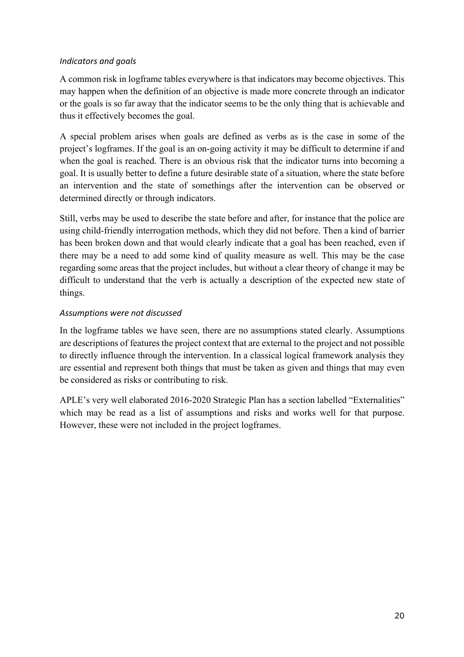## *Indicators and goals*

A common risk in logframe tables everywhere is that indicators may become objectives. This may happen when the definition of an objective is made more concrete through an indicator or the goals is so far away that the indicator seems to be the only thing that is achievable and thus it effectively becomes the goal.

A special problem arises when goals are defined as verbs as is the case in some of the project's logframes. If the goal is an on-going activity it may be difficult to determine if and when the goal is reached. There is an obvious risk that the indicator turns into becoming a goal. It is usually better to define a future desirable state of a situation, where the state before an intervention and the state of somethings after the intervention can be observed or determined directly or through indicators.

Still, verbs may be used to describe the state before and after, for instance that the police are using child-friendly interrogation methods, which they did not before. Then a kind of barrier has been broken down and that would clearly indicate that a goal has been reached, even if there may be a need to add some kind of quality measure as well. This may be the case regarding some areas that the project includes, but without a clear theory of change it may be difficult to understand that the verb is actually a description of the expected new state of things.

## *Assumptions were not discussed*

In the logframe tables we have seen, there are no assumptions stated clearly. Assumptions are descriptions of features the project context that are external to the project and not possible to directly influence through the intervention. In a classical logical framework analysis they are essential and represent both things that must be taken as given and things that may even be considered as risks or contributing to risk.

APLE's very well elaborated 2016-2020 Strategic Plan has a section labelled "Externalities" which may be read as a list of assumptions and risks and works well for that purpose. However, these were not included in the project logframes.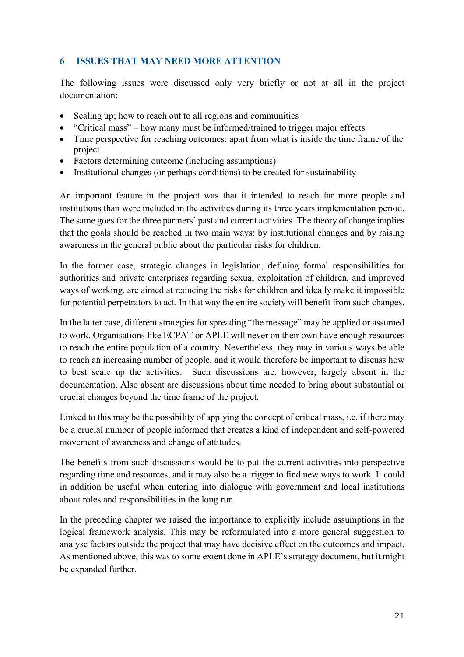# **6 ISSUES THAT MAY NEED MORE ATTENTION**

The following issues were discussed only very briefly or not at all in the project documentation:

- Scaling up; how to reach out to all regions and communities
- "Critical mass" how many must be informed/trained to trigger major effects
- Time perspective for reaching outcomes; apart from what is inside the time frame of the project
- Factors determining outcome (including assumptions)
- Institutional changes (or perhaps conditions) to be created for sustainability

An important feature in the project was that it intended to reach far more people and institutions than were included in the activities during its three years implementation period. The same goes for the three partners' past and current activities. The theory of change implies that the goals should be reached in two main ways: by institutional changes and by raising awareness in the general public about the particular risks for children.

In the former case, strategic changes in legislation, defining formal responsibilities for authorities and private enterprises regarding sexual exploitation of children, and improved ways of working, are aimed at reducing the risks for children and ideally make it impossible for potential perpetrators to act. In that way the entire society will benefit from such changes.

In the latter case, different strategies for spreading "the message" may be applied or assumed to work. Organisations like ECPAT or APLE will never on their own have enough resources to reach the entire population of a country. Nevertheless, they may in various ways be able to reach an increasing number of people, and it would therefore be important to discuss how to best scale up the activities. Such discussions are, however, largely absent in the documentation. Also absent are discussions about time needed to bring about substantial or crucial changes beyond the time frame of the project.

Linked to this may be the possibility of applying the concept of critical mass, i.e. if there may be a crucial number of people informed that creates a kind of independent and self-powered movement of awareness and change of attitudes.

The benefits from such discussions would be to put the current activities into perspective regarding time and resources, and it may also be a trigger to find new ways to work. It could in addition be useful when entering into dialogue with government and local institutions about roles and responsibilities in the long run.

In the preceding chapter we raised the importance to explicitly include assumptions in the logical framework analysis. This may be reformulated into a more general suggestion to analyse factors outside the project that may have decisive effect on the outcomes and impact. As mentioned above, this was to some extent done in APLE's strategy document, but it might be expanded further.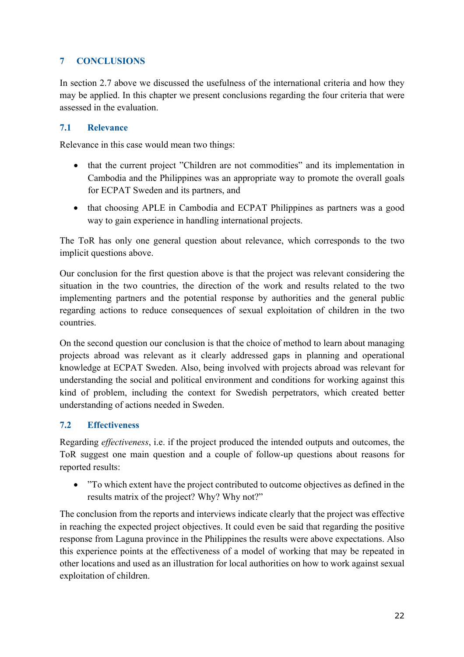# **7 CONCLUSIONS**

In section 2.7 above we discussed the usefulness of the international criteria and how they may be applied. In this chapter we present conclusions regarding the four criteria that were assessed in the evaluation.

# **7.1 Relevance**

Relevance in this case would mean two things:

- that the current project "Children are not commodities" and its implementation in Cambodia and the Philippines was an appropriate way to promote the overall goals for ECPAT Sweden and its partners, and
- that choosing APLE in Cambodia and ECPAT Philippines as partners was a good way to gain experience in handling international projects.

The ToR has only one general question about relevance, which corresponds to the two implicit questions above.

Our conclusion for the first question above is that the project was relevant considering the situation in the two countries, the direction of the work and results related to the two implementing partners and the potential response by authorities and the general public regarding actions to reduce consequences of sexual exploitation of children in the two countries.

On the second question our conclusion is that the choice of method to learn about managing projects abroad was relevant as it clearly addressed gaps in planning and operational knowledge at ECPAT Sweden. Also, being involved with projects abroad was relevant for understanding the social and political environment and conditions for working against this kind of problem, including the context for Swedish perpetrators, which created better understanding of actions needed in Sweden.

# **7.2 Effectiveness**

Regarding *effectiveness*, i.e. if the project produced the intended outputs and outcomes, the ToR suggest one main question and a couple of follow-up questions about reasons for reported results:

• "To which extent have the project contributed to outcome objectives as defined in the results matrix of the project? Why? Why not?"

The conclusion from the reports and interviews indicate clearly that the project was effective in reaching the expected project objectives. It could even be said that regarding the positive response from Laguna province in the Philippines the results were above expectations. Also this experience points at the effectiveness of a model of working that may be repeated in other locations and used as an illustration for local authorities on how to work against sexual exploitation of children.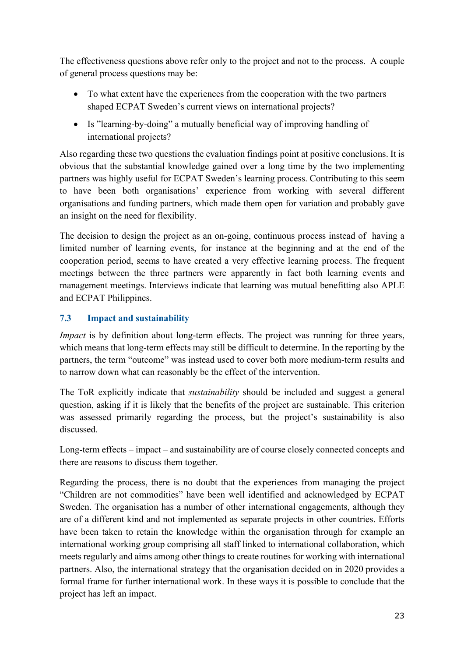The effectiveness questions above refer only to the project and not to the process. A couple of general process questions may be:

- To what extent have the experiences from the cooperation with the two partners shaped ECPAT Sweden's current views on international projects?
- Is "learning-by-doing" a mutually beneficial way of improving handling of international projects?

Also regarding these two questions the evaluation findings point at positive conclusions. It is obvious that the substantial knowledge gained over a long time by the two implementing partners was highly useful for ECPAT Sweden's learning process. Contributing to this seem to have been both organisations' experience from working with several different organisations and funding partners, which made them open for variation and probably gave an insight on the need for flexibility.

The decision to design the project as an on-going, continuous process instead of having a limited number of learning events, for instance at the beginning and at the end of the cooperation period, seems to have created a very effective learning process. The frequent meetings between the three partners were apparently in fact both learning events and management meetings. Interviews indicate that learning was mutual benefitting also APLE and ECPAT Philippines.

# **7.3 Impact and sustainability**

*Impact* is by definition about long-term effects. The project was running for three years, which means that long-term effects may still be difficult to determine. In the reporting by the partners, the term "outcome" was instead used to cover both more medium-term results and to narrow down what can reasonably be the effect of the intervention.

The ToR explicitly indicate that *sustainability* should be included and suggest a general question, asking if it is likely that the benefits of the project are sustainable. This criterion was assessed primarily regarding the process, but the project's sustainability is also discussed.

Long-term effects – impact – and sustainability are of course closely connected concepts and there are reasons to discuss them together.

Regarding the process, there is no doubt that the experiences from managing the project "Children are not commodities" have been well identified and acknowledged by ECPAT Sweden. The organisation has a number of other international engagements, although they are of a different kind and not implemented as separate projects in other countries. Efforts have been taken to retain the knowledge within the organisation through for example an international working group comprising all staff linked to international collaboration, which meets regularly and aims among other things to create routines for working with international partners. Also, the international strategy that the organisation decided on in 2020 provides a formal frame for further international work. In these ways it is possible to conclude that the project has left an impact.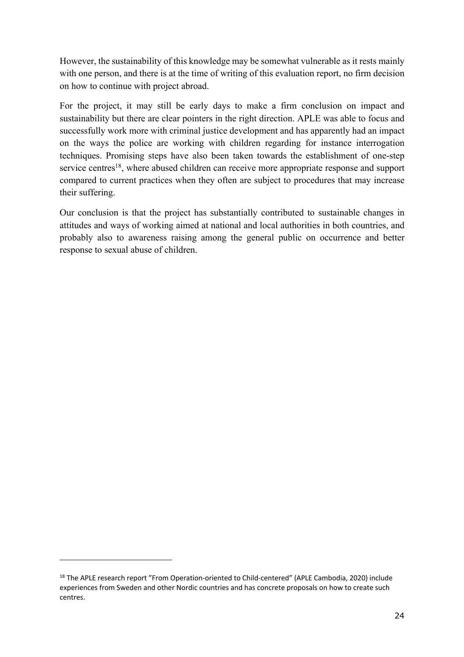However, the sustainability of this knowledge may be somewhat vulnerable as it rests mainly with one person, and there is at the time of writing of this evaluation report, no firm decision on how to continue with project abroad.

For the project, it may still be early days to make a firm conclusion on impact and sustainability but there are clear pointers in the right direction. APLE was able to focus and successfully work more with criminal justice development and has apparently had an impact on the ways the police are working with children regarding for instance interrogation techniques. Promising steps have also been taken towards the establishment of one-step service centres<sup>18</sup>, where abused children can receive more appropriate response and support compared to current practices when they often are subject to procedures that may increase their suffering.

Our conclusion is that the project has substantially contributed to sustainable changes in attitudes and ways of working aimed at national and local authorities in both countries, and probably also to awareness raising among the general public on occurrence and better response to sexual abuse of children.

<sup>&</sup>lt;sup>18</sup> The APLE research report "From Operation-oriented to Child-centered" (APLE Cambodia, 2020) include experiences from Sweden and other Nordic countries and has concrete proposals on how to create such centres.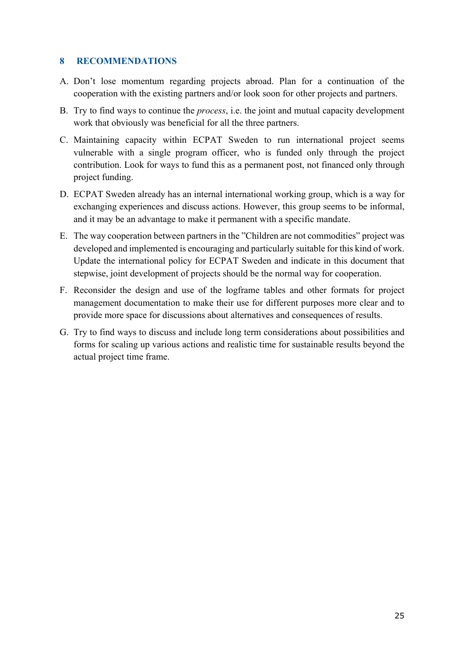#### **8 RECOMMENDATIONS**

- A. Don't lose momentum regarding projects abroad. Plan for a continuation of the cooperation with the existing partners and/or look soon for other projects and partners.
- B. Try to find ways to continue the *process*, i.e. the joint and mutual capacity development work that obviously was beneficial for all the three partners.
- C. Maintaining capacity within ECPAT Sweden to run international project seems vulnerable with a single program officer, who is funded only through the project contribution. Look for ways to fund this as a permanent post, not financed only through project funding.
- D. ECPAT Sweden already has an internal international working group, which is a way for exchanging experiences and discuss actions. However, this group seems to be informal, and it may be an advantage to make it permanent with a specific mandate.
- E. The way cooperation between partners in the "Children are not commodities" project was developed and implemented is encouraging and particularly suitable for this kind of work. Update the international policy for ECPAT Sweden and indicate in this document that stepwise, joint development of projects should be the normal way for cooperation.
- F. Reconsider the design and use of the logframe tables and other formats for project management documentation to make their use for different purposes more clear and to provide more space for discussions about alternatives and consequences of results.
- G. Try to find ways to discuss and include long term considerations about possibilities and forms for scaling up various actions and realistic time for sustainable results beyond the actual project time frame.